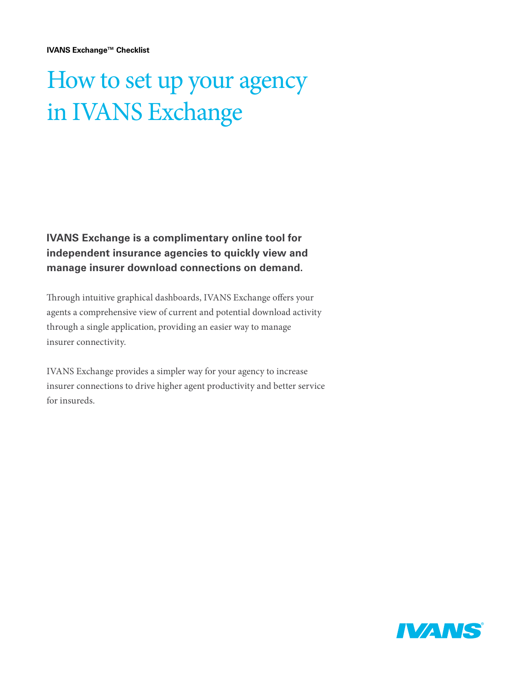**IVANS Exchange™ Checklist**

## How to set up your agency in IVANS Exchange

**IVANS Exchange is a complimentary online tool for independent insurance agencies to quickly view and manage insurer download connections on demand.** 

Through intuitive graphical dashboards, IVANS Exchange offers your agents a comprehensive view of current and potential download activity through a single application, providing an easier way to manage insurer connectivity.

IVANS Exchange provides a simpler way for your agency to increase insurer connections to drive higher agent productivity and better service for insureds.

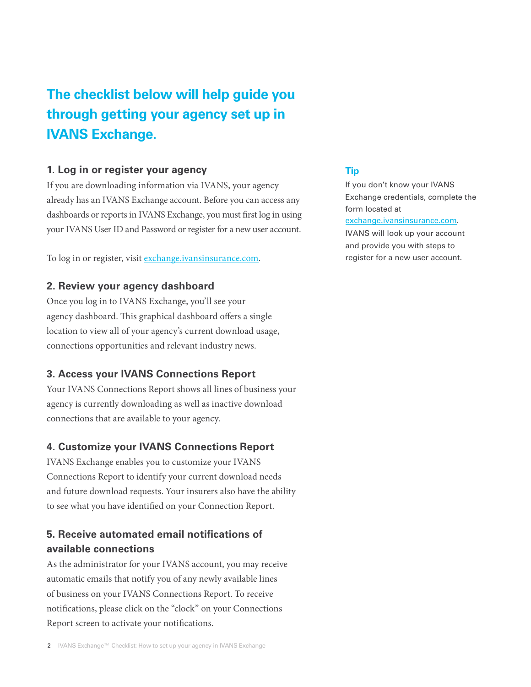### **The checklist below will help guide you through getting your agency set up in IVANS Exchange.**

#### **1. Log in or register your agency**

If you are downloading information via IVANS, your agency already has an IVANS Exchange account. Before you can access any dashboards or reports in IVANS Exchange, you must first log in using your IVANS User ID and Password or register for a new user account.

To log in or register, visi[t exchange.ivansinsurance.com](https://exchange.ivansinsurance.com/).

#### **2. Review your agency dashboard**

Once you log in to IVANS Exchange, you'll see your agency dashboard. This graphical dashboard offers a single location to view all of your agency's current download usage, connections opportunities and relevant industry news.

#### **3. Access your IVANS Connections Report**

Your IVANS Connections Report shows all lines of business your agency is currently downloading as well as inactive download connections that are available to your agency.

#### **4. Customize your IVANS Connections Report**

IVANS Exchange enables you to customize your IVANS Connections Report to identify your current download needs and future download requests. Your insurers also have the ability to see what you have identified on your Connection Report.

#### **5. Receive automated email notifications of available connections**

As the administrator for your IVANS account, you may receive automatic emails that notify you of any newly available lines of business on your IVANS Connections Report. To receive notifications, please click on the "clock" on your Connections Report screen to activate your notifications.

#### **Tip**

If you don't know your IVANS Exchange credentials, complete the form located at [exchange.ivansinsurance.com](https://exchange.ivansinsurance.com/).

IVANS will look up your account and provide you with steps to register for a new user account.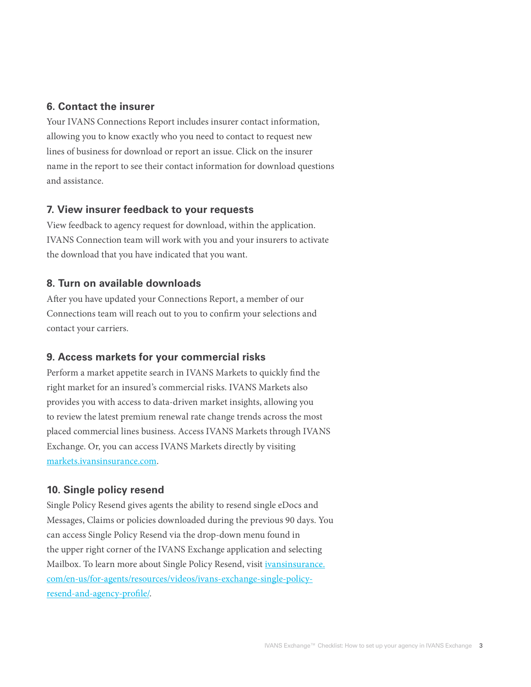#### **6. Contact the insurer**

Your IVANS Connections Report includes insurer contact information, allowing you to know exactly who you need to contact to request new lines of business for download or report an issue. Click on the insurer name in the report to see their contact information for download questions and assistance.

#### **7. View insurer feedback to your requests**

View feedback to agency request for download, within the application. IVANS Connection team will work with you and your insurers to activate the download that you have indicated that you want.

#### **8. Turn on available downloads**

After you have updated your Connections Report, a member of our Connections team will reach out to you to confirm your selections and contact your carriers.

#### **9. Access markets for your commercial risks**

Perform a market appetite search in IVANS Markets to quickly find the right market for an insured's commercial risks. IVANS Markets also provides you with access to data-driven market insights, allowing you to review the latest premium renewal rate change trends across the most placed commercial lines business. Access IVANS Markets through IVANS Exchange. Or, you can access IVANS Markets directly by visiting [markets.ivansinsurance.com.](https://markets.ivansinsurance.com/)

#### **10. Single policy resend**

Single Policy Resend gives agents the ability to resend single eDocs and Messages, Claims or policies downloaded during the previous 90 days. You can access Single Policy Resend via the drop-down menu found in the upper right corner of the IVANS Exchange application and selecting Mailbox. To learn more about Single Policy Resend, visit *ivansinsurance*. [com/en-us/for-agents/resources/videos/ivans-exchange-single-policy](http://www.ivansinsurance.com/en-us/for-agents/resources/videos/ivans-exchange-single-policy-resend-and-agency-profile/)[resend-and-agency-profile/](http://www.ivansinsurance.com/en-us/for-agents/resources/videos/ivans-exchange-single-policy-resend-and-agency-profile/).